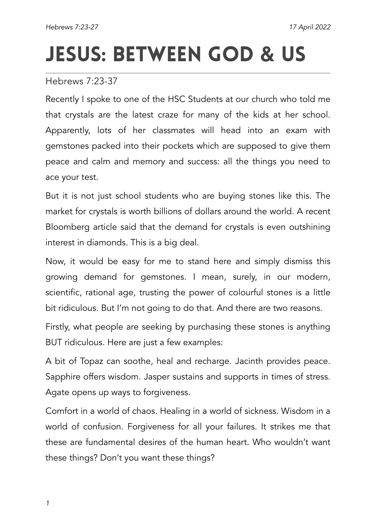## JESUS: Between God **&** Us

Hebrews 7:23-37

Recently I spoke to one of the HSC Students at our church who told me that crystals are the latest craze for many of the kids at her school. Apparently, lots of her classmates will head into an exam with gemstones packed into their pockets which are supposed to give them peace and calm and memory and success: all the things you need to ace your test.

But it is not just school students who are buying stones like this. The market for crystals is worth billions of dollars around the world. A recent Bloomberg article said that the demand for crystals is even outshining interest in diamonds. This is a big deal.

Now, it would be easy for me to stand here and simply dismiss this growing demand for gemstones. I mean, surely, in our modern, scientific, rational age, trusting the power of colourful stones is a little bit ridiculous. But I'm not going to do that. And there are two reasons.

Firstly, what people are seeking by purchasing these stones is anything BUT ridiculous. Here are just a few examples:

A bit of Topaz can soothe, heal and recharge. Jacinth provides peace. Sapphire offers wisdom. Jasper sustains and supports in times of stress. Agate opens up ways to forgiveness.

Comfort in a world of chaos. Healing in a world of sickness. Wisdom in a world of confusion. Forgiveness for all your failures. It strikes me that these are fundamental desires of the human heart. Who wouldn't want these things? Don't you want these things?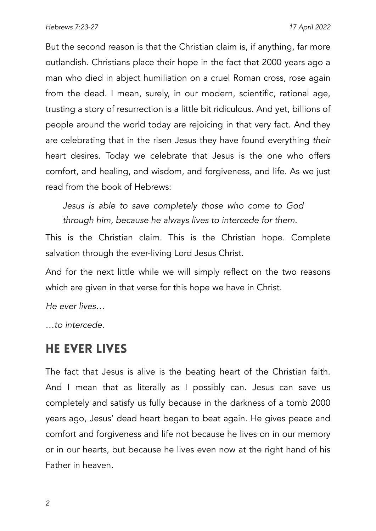But the second reason is that the Christian claim is, if anything, far more outlandish. Christians place their hope in the fact that 2000 years ago a man who died in abject humiliation on a cruel Roman cross, rose again from the dead. I mean, surely, in our modern, scientific, rational age, trusting a story of resurrection is a little bit ridiculous. And yet, billions of people around the world today are rejoicing in that very fact. And they are celebrating that in the risen Jesus they have found everything *their* heart desires. Today we celebrate that Jesus is the one who offers comfort, and healing, and wisdom, and forgiveness, and life. As we just read from the book of Hebrews:

*Jesus is able to save completely those who come to God through him, because he always lives to intercede for them.*

This is the Christian claim. This is the Christian hope. Complete salvation through the ever-living Lord Jesus Christ.

And for the next little while we will simply reflect on the two reasons which are given in that verse for this hope we have in Christ.

*He ever lives…*

*…to intercede.*

## He Ever Lives

The fact that Jesus is alive is the beating heart of the Christian faith. And I mean that as literally as I possibly can. Jesus can save us completely and satisfy us fully because in the darkness of a tomb 2000 years ago, Jesus' dead heart began to beat again. He gives peace and comfort and forgiveness and life not because he lives on in our memory or in our hearts, but because he lives even now at the right hand of his Father in heaven.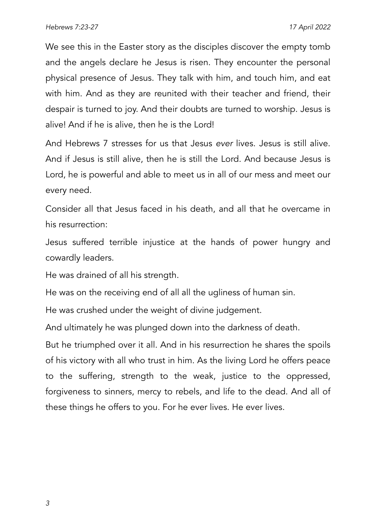We see this in the Easter story as the disciples discover the empty tomb and the angels declare he Jesus is risen. They encounter the personal physical presence of Jesus. They talk with him, and touch him, and eat with him. And as they are reunited with their teacher and friend, their despair is turned to joy. And their doubts are turned to worship. Jesus is alive! And if he is alive, then he is the Lord!

And Hebrews 7 stresses for us that Jesus *ever* lives. Jesus is still alive. And if Jesus is still alive, then he is still the Lord. And because Jesus is Lord, he is powerful and able to meet us in all of our mess and meet our every need.

Consider all that Jesus faced in his death, and all that he overcame in his resurrection:

Jesus suffered terrible injustice at the hands of power hungry and cowardly leaders.

He was drained of all his strength.

He was on the receiving end of all all the ugliness of human sin.

He was crushed under the weight of divine judgement.

And ultimately he was plunged down into the darkness of death.

But he triumphed over it all. And in his resurrection he shares the spoils of his victory with all who trust in him. As the living Lord he offers peace to the suffering, strength to the weak, justice to the oppressed, forgiveness to sinners, mercy to rebels, and life to the dead. And all of these things he offers to you. For he ever lives. He ever lives.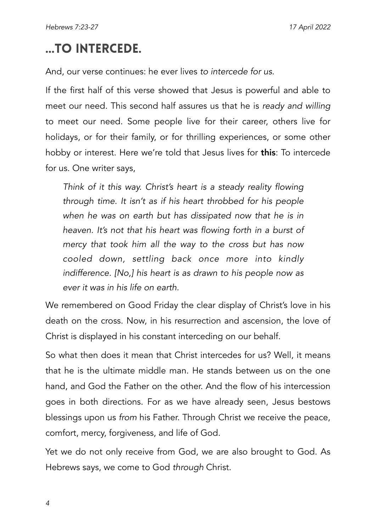## …to Intercede.

And, our verse continues: he ever lives *to intercede for us*.

If the first half of this verse showed that Jesus is powerful and able to meet our need. This second half assures us that he is *ready and willing*  to meet our need. Some people live for their career, others live for holidays, or for their family, or for thrilling experiences, or some other hobby or interest. Here we're told that Jesus lives for **this**: To intercede for us. One writer says,

*Think of it this way. Christ's heart is a steady reality flowing through time. It isn't as if his heart throbbed for his people when he was on earth but has dissipated now that he is in heaven. It's not that his heart was flowing forth in a burst of mercy that took him all the way to the cross but has now cooled down, settling back once more into kindly indifference. [No,] his heart is as drawn to his people now as ever it was in his life on earth.*

We remembered on Good Friday the clear display of Christ's love in his death on the cross. Now, in his resurrection and ascension, the love of Christ is displayed in his constant interceding on our behalf.

So what then does it mean that Christ intercedes for us? Well, it means that he is the ultimate middle man. He stands between us on the one hand, and God the Father on the other. And the flow of his intercession goes in both directions. For as we have already seen, Jesus bestows blessings upon us *from* his Father. Through Christ we receive the peace, comfort, mercy, forgiveness, and life of God.

Yet we do not only receive from God, we are also brought to God. As Hebrews says, we come to God *through* Christ.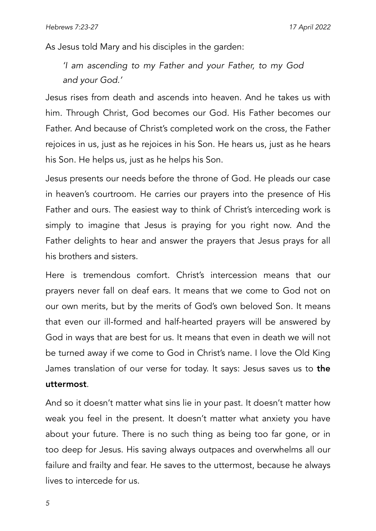As Jesus told Mary and his disciples in the garden:

*'I am ascending to my Father and your Father, to my God and your God.'*

Jesus rises from death and ascends into heaven. And he takes us with him. Through Christ, God becomes our God. His Father becomes our Father. And because of Christ's completed work on the cross, the Father rejoices in us, just as he rejoices in his Son. He hears us, just as he hears his Son. He helps us, just as he helps his Son.

Jesus presents our needs before the throne of God. He pleads our case in heaven's courtroom. He carries our prayers into the presence of His Father and ours. The easiest way to think of Christ's interceding work is simply to imagine that Jesus is praying for you right now. And the Father delights to hear and answer the prayers that Jesus prays for all his brothers and sisters.

Here is tremendous comfort. Christ's intercession means that our prayers never fall on deaf ears. It means that we come to God not on our own merits, but by the merits of God's own beloved Son. It means that even our ill-formed and half-hearted prayers will be answered by God in ways that are best for us. It means that even in death we will not be turned away if we come to God in Christ's name. I love the Old King James translation of our verse for today. It says: Jesus saves us to the uttermost.

And so it doesn't matter what sins lie in your past. It doesn't matter how weak you feel in the present. It doesn't matter what anxiety you have about your future. There is no such thing as being too far gone, or in too deep for Jesus. His saving always outpaces and overwhelms all our failure and frailty and fear. He saves to the uttermost, because he always lives to intercede for us.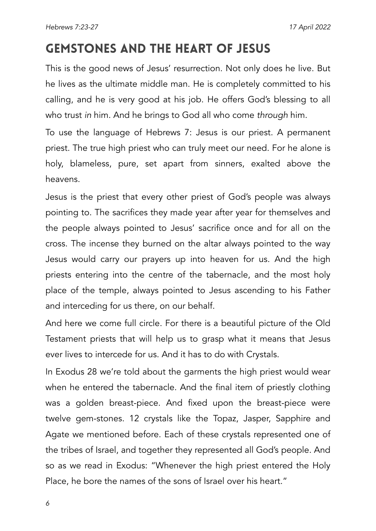## Gemstones and the Heart of Jesus

This is the good news of Jesus' resurrection. Not only does he live. But he lives as the ultimate middle man. He is completely committed to his calling, and he is very good at his job. He offers God's blessing to all who trust *in* him. And he brings to God all who come *through* him.

To use the language of Hebrews 7: Jesus is our priest. A permanent priest. The true high priest who can truly meet our need. For he alone is holy, blameless, pure, set apart from sinners, exalted above the heavens.

Jesus is the priest that every other priest of God's people was always pointing to. The sacrifices they made year after year for themselves and the people always pointed to Jesus' sacrifice once and for all on the cross. The incense they burned on the altar always pointed to the way Jesus would carry our prayers up into heaven for us. And the high priests entering into the centre of the tabernacle, and the most holy place of the temple, always pointed to Jesus ascending to his Father and interceding for us there, on our behalf.

And here we come full circle. For there is a beautiful picture of the Old Testament priests that will help us to grasp what it means that Jesus ever lives to intercede for us. And it has to do with Crystals.

In Exodus 28 we're told about the garments the high priest would wear when he entered the tabernacle. And the final item of priestly clothing was a golden breast-piece. And fixed upon the breast-piece were twelve gem-stones. 12 crystals like the Topaz, Jasper, Sapphire and Agate we mentioned before. Each of these crystals represented one of the tribes of Israel, and together they represented all God's people. And so as we read in Exodus: "Whenever the high priest entered the Holy Place, he bore the names of the sons of Israel over his heart."

*6*